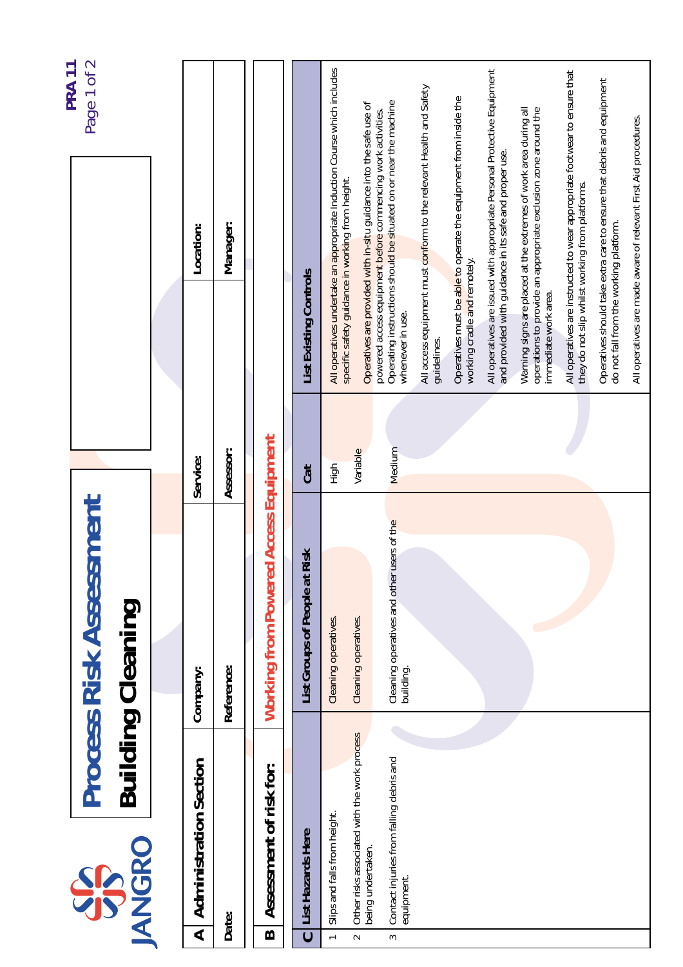| Page 1 of 2<br>PRA <sub>11</sub>                      | Location:                                                | Manager:   |                                              |                                     | All operatives undertake an appropriate Induction Course which includes<br>specific safety guidance in working from height. | Operatives are provided with in-situ guidance into the safe use of<br>powered access equipment before commencing work activities. | Operating instructions should be situated on or near the machine | All access equipment must conform to the relevant Health and Safety | Operatives must be able to operate the equipment from inside the | All operatives are issued with appropriate Personal Protective Equipment<br>and provided with guidance in its safe and proper use. | Warning signs are placed at the extremes of work area during all<br>operations to provide an appropriate exclusion zone around the | All operatives are instructed to wear appropriate footwear to ensure that<br>they do not slip whilst working from platforms. | Operatives should take extra care to ensure that debris and equipment | All operatives are made aware of relevant First Aid procedures. |
|-------------------------------------------------------|----------------------------------------------------------|------------|----------------------------------------------|-------------------------------------|-----------------------------------------------------------------------------------------------------------------------------|-----------------------------------------------------------------------------------------------------------------------------------|------------------------------------------------------------------|---------------------------------------------------------------------|------------------------------------------------------------------|------------------------------------------------------------------------------------------------------------------------------------|------------------------------------------------------------------------------------------------------------------------------------|------------------------------------------------------------------------------------------------------------------------------|-----------------------------------------------------------------------|-----------------------------------------------------------------|
|                                                       |                                                          |            |                                              | List Existing Controls              |                                                                                                                             |                                                                                                                                   | whenever in use.                                                 | guidelines.                                                         | working cradle and remotely.                                     |                                                                                                                                    | immediate work area.                                                                                                               |                                                                                                                              | do not fall from the working platform.                                |                                                                 |
|                                                       | Service:                                                 | Assessor:  |                                              | Cat                                 | High                                                                                                                        | Variable                                                                                                                          | Medium                                                           |                                                                     |                                                                  |                                                                                                                                    |                                                                                                                                    |                                                                                                                              |                                                                       |                                                                 |
| <b>Process Risk Assessment</b>                        | Company:                                                 | Reference: | <b>Working from Powered Access Equipment</b> | List Groups of People at Risk       | Cleaning operatives.                                                                                                        | Cleaning operatives.                                                                                                              | Cleaning operatives and other users of the<br>building.          |                                                                     |                                                                  |                                                                                                                                    |                                                                                                                                    |                                                                                                                              |                                                                       |                                                                 |
| <b>Building Cleaning</b><br><b>ANGRO</b><br><b>SP</b> | <b>Administration Section</b><br>$\overline{\mathbf{A}}$ | Date:      | Assessment of risk for:<br>$\mathbf{\Omega}$ | List Hazards Here<br>$\overline{C}$ | Slips and falls from height.<br>$\overline{a}$                                                                              | Other risks associated with the work process<br>being undertaken.<br>$\sim$                                                       | Contact injuries from falling debris and<br>equipment.<br>$\sim$ |                                                                     |                                                                  |                                                                                                                                    |                                                                                                                                    |                                                                                                                              |                                                                       |                                                                 |